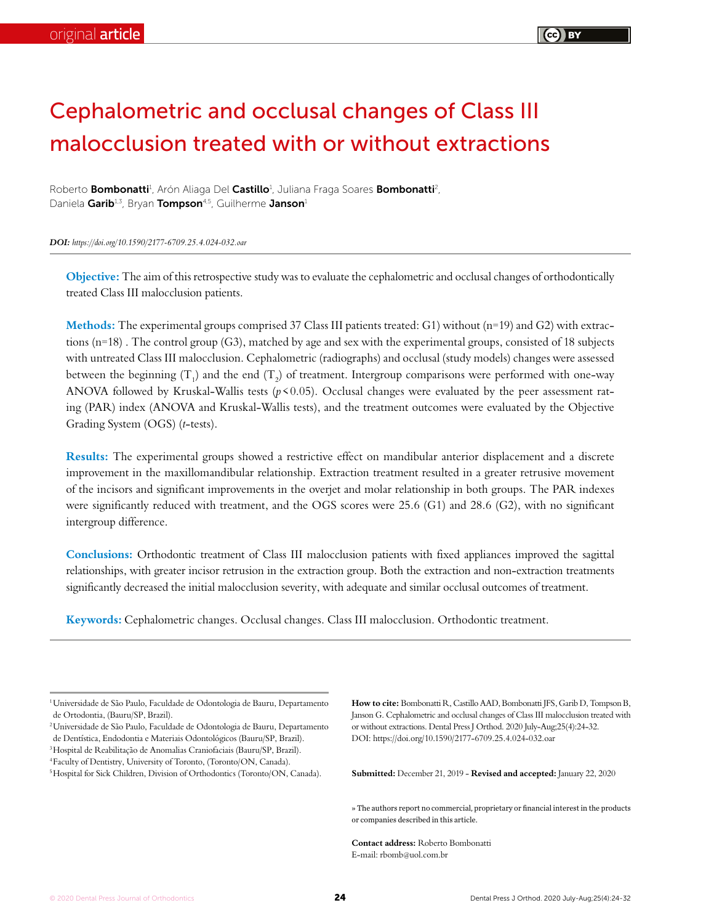# Cephalometric and occlusal changes of Class III malocclusion treated with or without extractions

Roberto Bombonatti<sup>1</sup>, Arón Aliaga Del Castillo<sup>1</sup>, Juliana Fraga Soares Bombonatti<sup>2</sup>, Daniela Garib<sup>1,3</sup>, Bryan Tompson<sup>4,5</sup>, Guilherme Janson<sup>1</sup>

*DOI: https://doi.org/10.1590/2177-6709.25.4.024-032.oar*

**Objective:** The aim of this retrospective study was to evaluate the cephalometric and occlusal changes of orthodontically treated Class III malocclusion patients.

**Methods:** The experimental groups comprised 37 Class III patients treated: G1) without (n=19) and G2) with extractions (n=18) . The control group (G3), matched by age and sex with the experimental groups, consisted of 18 subjects with untreated Class III malocclusion. Cephalometric (radiographs) and occlusal (study models) changes were assessed between the beginning (T<sub>1</sub>) and the end (T<sub>2</sub>) of treatment. Intergroup comparisons were performed with one-way ANOVA followed by Kruskal-Wallis tests  $(p<0.05)$ . Occlusal changes were evaluated by the peer assessment rating (PAR) index (ANOVA and Kruskal-Wallis tests), and the treatment outcomes were evaluated by the Objective Grading System (OGS) (*t*-tests).

**Results:** The experimental groups showed a restrictive effect on mandibular anterior displacement and a discrete improvement in the maxillomandibular relationship. Extraction treatment resulted in a greater retrusive movement of the incisors and significant improvements in the overjet and molar relationship in both groups. The PAR indexes were significantly reduced with treatment, and the OGS scores were 25.6 (G1) and 28.6 (G2), with no significant intergroup difference.

**Conclusions:** Orthodontic treatment of Class III malocclusion patients with fixed appliances improved the sagittal relationships, with greater incisor retrusion in the extraction group. Both the extraction and non-extraction treatments significantly decreased the initial malocclusion severity, with adequate and similar occlusal outcomes of treatment.

**Keywords:** Cephalometric changes. Occlusal changes. Class III malocclusion. Orthodontic treatment.

2Universidade de São Paulo, Faculdade de Odontologia de Bauru, Departamento de Dentística, Endodontia e Materiais Odontológicos (Bauru/SP, Brazil). 3Hospital de Reabilitação de Anomalias Craniofaciais (Bauru/SP, Brazil).

**How to cite:** Bombonatti R, Castillo AAD, Bombonatti JFS, Garib D, Tompson B, Janson G. Cephalometric and occlusal changes of Class III malocclusion treated with or without extractions. Dental Press J Orthod. 2020 July-Aug;25(4):24-32. DOI: https://doi.org/10.1590/2177-6709.25.4.024-032.oar

**Submitted:** December 21, 2019 - **Revised and accepted:** January 22, 2020

» The authors report no commercial, proprietary or financial interest in the products or companies described in this article.

**Contact address:** Roberto Bombonatti E-mail: rbomb@uol.com.br

<sup>&</sup>lt;sup>1</sup> Universidade de São Paulo, Faculdade de Odontologia de Bauru, Departamento de Ortodontia, (Bauru/SP, Brazil).

<sup>4</sup>Faculty of Dentistry, University of Toronto, (Toronto/ON, Canada).

<sup>&</sup>lt;sup>5</sup> Hospital for Sick Children, Division of Orthodontics (Toronto/ON, Canada).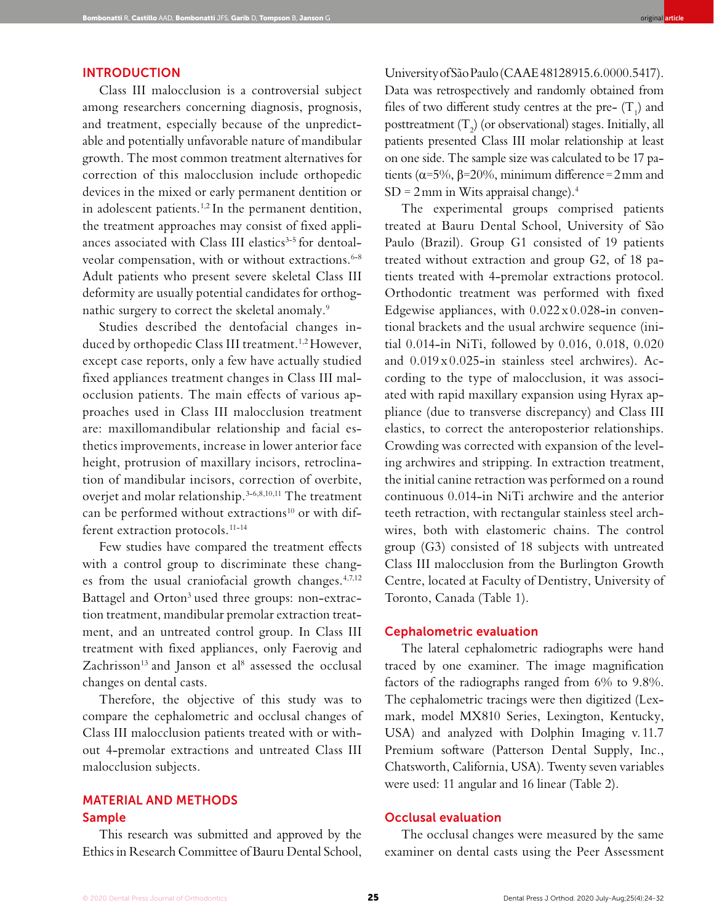## INTRODUCTION

Class III malocclusion is a controversial subject among researchers concerning diagnosis, prognosis, and treatment, especially because of the unpredictable and potentially unfavorable nature of mandibular growth. The most common treatment alternatives for correction of this malocclusion include orthopedic devices in the mixed or early permanent dentition or in adolescent patients.<sup>1,2</sup> In the permanent dentition, the treatment approaches may consist of fixed appliances associated with Class III elastics<sup>3-5</sup> for dentoalveolar compensation, with or without extractions.<sup>6-8</sup> Adult patients who present severe skeletal Class III deformity are usually potential candidates for orthognathic surgery to correct the skeletal anomaly.<sup>9</sup>

Studies described the dentofacial changes induced by orthopedic Class III treatment.<sup>1,2</sup> However, except case reports, only a few have actually studied fixed appliances treatment changes in Class III malocclusion patients. The main effects of various approaches used in Class III malocclusion treatment are: maxillomandibular relationship and facial esthetics improvements, increase in lower anterior face height, protrusion of maxillary incisors, retroclination of mandibular incisors, correction of overbite, overjet and molar relationship.3-6,8,10,11 The treatment can be performed without extractions<sup>10</sup> or with different extraction protocols.<sup>11-14</sup>

Few studies have compared the treatment effects with a control group to discriminate these changes from the usual craniofacial growth changes.<sup>4,7,12</sup> Battagel and Orton<sup>3</sup> used three groups: non-extraction treatment, mandibular premolar extraction treatment, and an untreated control group. In Class III treatment with fixed appliances, only Faerovig and Zachrisson<sup>13</sup> and Janson et al<sup>8</sup> assessed the occlusal changes on dental casts.

Therefore, the objective of this study was to compare the cephalometric and occlusal changes of Class III malocclusion patients treated with or without 4-premolar extractions and untreated Class III malocclusion subjects.

# MATERIAL AND METHODS Sample

This research was submitted and approved by the Ethics in Research Committee of Bauru Dental School,

University of São Paulo (CAAE 48128915.6.0000.5417). Data was retrospectively and randomly obtained from files of two different study centres at the pre-  $(T_1)$  and posttreatment (T<sub>2</sub>) (or observational) stages. Initially, all patients presented Class III molar relationship at least on one side. The sample size was calculated to be 17 patients ( $\alpha$ =5%,  $\beta$ =20%, minimum difference=2mm and  $SD = 2 \, \text{mm}$  in Wits appraisal change).<sup>4</sup>

Bombonatti R, Castillo AAD, Bombonatti JFS, Garib D, Tompson B, Janson G original **article**

The experimental groups comprised patients treated at Bauru Dental School, University of São Paulo (Brazil). Group G1 consisted of 19 patients treated without extraction and group G2, of 18 patients treated with 4-premolar extractions protocol. Orthodontic treatment was performed with fixed Edgewise appliances, with  $0.022 \times 0.028$ -in conventional brackets and the usual archwire sequence (initial 0.014-in NiTi, followed by 0.016, 0.018, 0.020 and 0.019 x 0.025-in stainless steel archwires). According to the type of malocclusion, it was associated with rapid maxillary expansion using Hyrax appliance (due to transverse discrepancy) and Class III elastics, to correct the anteroposterior relationships. Crowding was corrected with expansion of the leveling archwires and stripping. In extraction treatment, the initial canine retraction was performed on a round continuous 0.014-in NiTi archwire and the anterior teeth retraction, with rectangular stainless steel archwires, both with elastomeric chains. The control group (G3) consisted of 18 subjects with untreated Class III malocclusion from the Burlington Growth Centre, located at Faculty of Dentistry, University of Toronto, Canada (Table 1).

#### Cephalometric evaluation

The lateral cephalometric radiographs were hand traced by one examiner. The image magnification factors of the radiographs ranged from 6% to 9.8%. The cephalometric tracings were then digitized (Lexmark, model MX810 Series, Lexington, Kentucky, USA) and analyzed with Dolphin Imaging v. 11.7 Premium software (Patterson Dental Supply, Inc., Chatsworth, California, USA). Twenty seven variables were used: 11 angular and 16 linear (Table 2).

# Occlusal evaluation

The occlusal changes were measured by the same examiner on dental casts using the Peer Assessment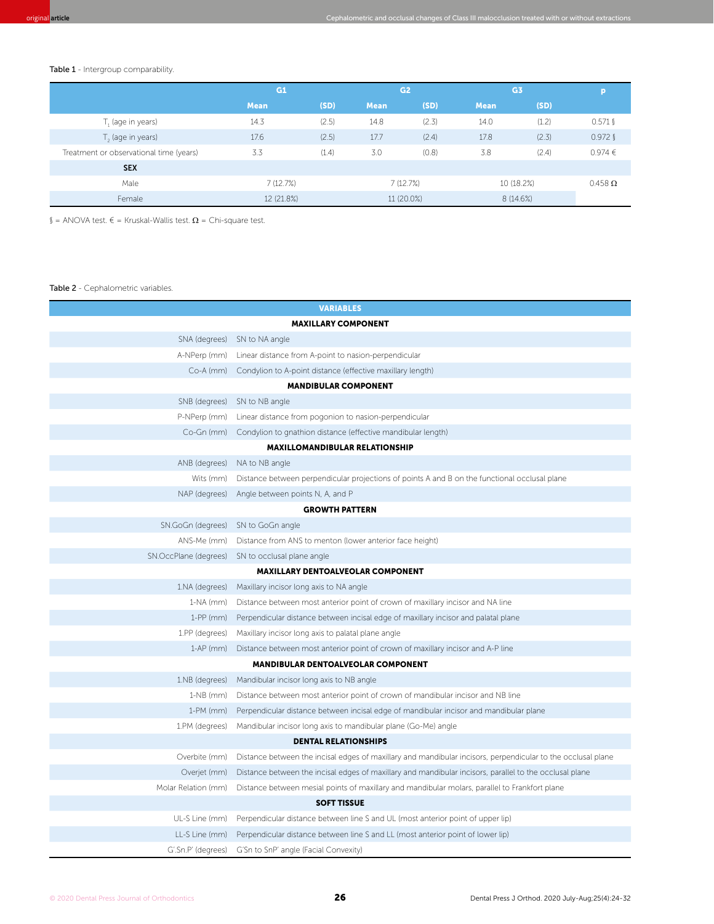Table 1 - Intergroup comparability.

|                                         | G1          |       | G <sub>2</sub> |       | G <sub>3</sub> |       |                    |
|-----------------------------------------|-------------|-------|----------------|-------|----------------|-------|--------------------|
|                                         | <b>Mean</b> | (SD)  | <b>Mean</b>    | (SD)  | <b>Mean</b>    | (SD)  |                    |
| T, (age in years)                       | 14.3        | (2.5) | 14.8           | (2.3) | 14.0           | (1.2) | $0.571$ $\sqrt{ }$ |
| $T2$ (age in years)                     | 17.6        | (2.5) | 17.7           | (2.4) | 17.8           | (2.3) | $0.972$ $\[$       |
| Treatment or observational time (years) | 3.3         | (1.4) | 3.0            | (0.8) | 3.8            | (2.4) | 0.974 €            |
| <b>SEX</b>                              |             |       |                |       |                |       |                    |
| Male                                    | 7(12.7%)    |       | 7(12.7%)       |       | 10 (18.2%)     |       | $0.458$ $\Omega$   |
| Female                                  | 12 (21.8%)  |       | 11 (20.0%)     |       | 8 (14.6%)      |       |                    |

§ = ANOVA test. € = Kruskal-Wallis test. Ω = Chi-square test.

#### Table 2 - Cephalometric variables.

| <b>VARIABLES</b>                         |                                                                                                              |  |  |  |  |  |  |  |
|------------------------------------------|--------------------------------------------------------------------------------------------------------------|--|--|--|--|--|--|--|
| <b>MAXILLARY COMPONENT</b>               |                                                                                                              |  |  |  |  |  |  |  |
|                                          | SNA (degrees) SN to NA angle                                                                                 |  |  |  |  |  |  |  |
| A-NPerp (mm)                             | Linear distance from A-point to nasion-perpendicular                                                         |  |  |  |  |  |  |  |
|                                          | Co-A (mm) Condylion to A-point distance (effective maxillary length)                                         |  |  |  |  |  |  |  |
| <b>MANDIBULAR COMPONENT</b>              |                                                                                                              |  |  |  |  |  |  |  |
| SNB (degrees)                            | SN to NB angle                                                                                               |  |  |  |  |  |  |  |
| P-NPerp (mm)                             | Linear distance from pogonion to nasion-perpendicular                                                        |  |  |  |  |  |  |  |
|                                          | Co-Gn (mm) Condylion to gnathion distance (effective mandibular length)                                      |  |  |  |  |  |  |  |
|                                          | <b>MAXILLOMANDIBULAR RELATIONSHIP</b>                                                                        |  |  |  |  |  |  |  |
| ANB (degrees)                            | NA to NB angle                                                                                               |  |  |  |  |  |  |  |
| Wits (mm)                                | Distance between perpendicular projections of points A and B on the functional occlusal plane                |  |  |  |  |  |  |  |
| NAP (degrees)                            | Angle between points N, A, and P                                                                             |  |  |  |  |  |  |  |
|                                          | <b>GROWTH PATTERN</b>                                                                                        |  |  |  |  |  |  |  |
| SN.GoGn (degrees)                        | SN to GoGn angle                                                                                             |  |  |  |  |  |  |  |
| ANS-Me (mm)                              | Distance from ANS to menton (lower anterior face height)                                                     |  |  |  |  |  |  |  |
| SN.OccPlane (degrees)                    | SN to occlusal plane angle                                                                                   |  |  |  |  |  |  |  |
| <b>MAXILLARY DENTOALVEOLAR COMPONENT</b> |                                                                                                              |  |  |  |  |  |  |  |
| 1.NA (degrees)                           | Maxillary incisor long axis to NA angle                                                                      |  |  |  |  |  |  |  |
| $1-NA$ ( $mm$ )                          | Distance between most anterior point of crown of maxillary incisor and NA line                               |  |  |  |  |  |  |  |
| $1-PP$ (mm)                              | Perpendicular distance between incisal edge of maxillary incisor and palatal plane                           |  |  |  |  |  |  |  |
| 1.PP (degrees)                           | Maxillary incisor long axis to palatal plane angle                                                           |  |  |  |  |  |  |  |
| $1-AP$ (mm)                              | Distance between most anterior point of crown of maxillary incisor and A-P line                              |  |  |  |  |  |  |  |
|                                          | <b>MANDIBULAR DENTOALVEOLAR COMPONENT</b>                                                                    |  |  |  |  |  |  |  |
| 1.NB (degrees)                           | Mandibular incisor long axis to NB angle                                                                     |  |  |  |  |  |  |  |
| $1-NB$ (mm)                              | Distance between most anterior point of crown of mandibular incisor and NB line                              |  |  |  |  |  |  |  |
| $1-PM$ (mm)                              | Perpendicular distance between incisal edge of mandibular incisor and mandibular plane                       |  |  |  |  |  |  |  |
| 1.PM (degrees)                           | Mandibular incisor long axis to mandibular plane (Go-Me) angle                                               |  |  |  |  |  |  |  |
| <b>DENTAL RELATIONSHIPS</b>              |                                                                                                              |  |  |  |  |  |  |  |
| Overbite (mm)                            | Distance between the incisal edges of maxillary and mandibular incisors, perpendicular to the occlusal plane |  |  |  |  |  |  |  |
| Overjet (mm)                             | Distance between the incisal edges of maxillary and mandibular incisors, parallel to the occlusal plane      |  |  |  |  |  |  |  |
| Molar Relation (mm)                      | Distance between mesial points of maxillary and mandibular molars, parallel to Frankfort plane               |  |  |  |  |  |  |  |
|                                          | <b>SOFT TISSUE</b>                                                                                           |  |  |  |  |  |  |  |
| UL-S Line (mm)                           | Perpendicular distance between line S and UL (most anterior point of upper lip)                              |  |  |  |  |  |  |  |
| LL-S Line (mm)                           | Perpendicular distance between line S and LL (most anterior point of lower lip)                              |  |  |  |  |  |  |  |
| G'.Sn.P' (degrees)                       | G'Sn to SnP' angle (Facial Convexity)                                                                        |  |  |  |  |  |  |  |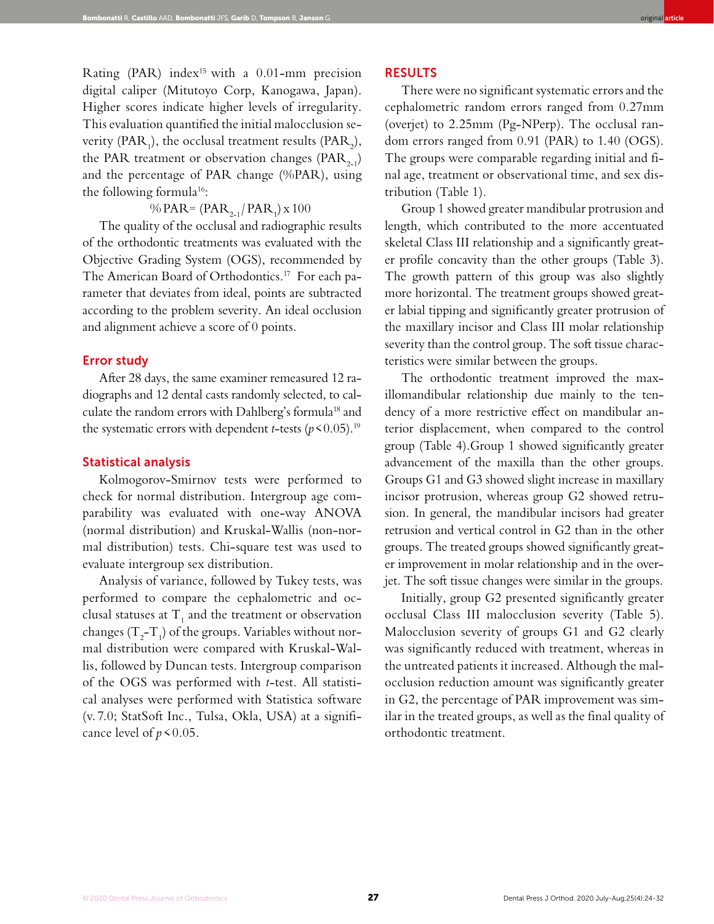Rating (PAR) index<sup>15</sup> with a 0.01-mm precision digital caliper (Mitutoyo Corp, Kanogawa, Japan). Higher scores indicate higher levels of irregularity. This evaluation quantified the initial malocclusion severity (PAR<sub>1</sub>), the occlusal treatment results (PAR<sub>2</sub>), the PAR treatment or observation changes ( $PAR_{2-1}$ ) and the percentage of PAR change (%PAR), using the following formula<sup>16</sup>:

# % PAR =  $\left($  PAR<sub>2-1</sub> $/$  PAR<sub>1</sub> $\right)$  x 100

The quality of the occlusal and radiographic results of the orthodontic treatments was evaluated with the Objective Grading System (OGS), recommended by The American Board of Orthodontics.17 For each parameter that deviates from ideal, points are subtracted according to the problem severity. An ideal occlusion and alignment achieve a score of 0 points.

## Error study

After 28 days, the same examiner remeasured 12 radiographs and 12 dental casts randomly selected, to calculate the random errors with Dahlberg's formula<sup>18</sup> and the systematic errors with dependent *t*-tests ( $p$  < 0.05).<sup>19</sup>

#### Statistical analysis

Kolmogorov-Smirnov tests were performed to check for normal distribution. Intergroup age comparability was evaluated with one-way ANOVA (normal distribution) and Kruskal-Wallis (non-normal distribution) tests. Chi-square test was used to evaluate intergroup sex distribution.

Analysis of variance, followed by Tukey tests, was performed to compare the cephalometric and occlusal statuses at  $T_1$  and the treatment or observation changes (T<sub>2</sub>-T<sub>1</sub>) of the groups. Variables without normal distribution were compared with Kruskal-Wallis, followed by Duncan tests. Intergroup comparison of the OGS was performed with *t*-test. All statistical analyses were performed with Statistica software (v. 7.0; StatSoft Inc., Tulsa, Okla, USA) at a significance level of  $p \le 0.05$ .

## RESULTS

There were no significant systematic errors and the cephalometric random errors ranged from 0.27mm (overjet) to 2.25mm (Pg-NPerp). The occlusal random errors ranged from 0.91 (PAR) to 1.40 (OGS). The groups were comparable regarding initial and final age, treatment or observational time, and sex distribution (Table 1).

Group 1 showed greater mandibular protrusion and length, which contributed to the more accentuated skeletal Class III relationship and a significantly greater profile concavity than the other groups (Table 3). The growth pattern of this group was also slightly more horizontal. The treatment groups showed greater labial tipping and significantly greater protrusion of the maxillary incisor and Class III molar relationship severity than the control group. The soft tissue characteristics were similar between the groups.

The orthodontic treatment improved the maxillomandibular relationship due mainly to the tendency of a more restrictive effect on mandibular anterior displacement, when compared to the control group (Table 4).Group 1 showed significantly greater advancement of the maxilla than the other groups. Groups G1 and G3 showed slight increase in maxillary incisor protrusion, whereas group G2 showed retrusion. In general, the mandibular incisors had greater retrusion and vertical control in G2 than in the other groups. The treated groups showed significantly greater improvement in molar relationship and in the overjet. The soft tissue changes were similar in the groups.

Initially, group G2 presented significantly greater occlusal Class III malocclusion severity (Table 5). Malocclusion severity of groups G1 and G2 clearly was significantly reduced with treatment, whereas in the untreated patients it increased. Although the malocclusion reduction amount was significantly greater in G2, the percentage of PAR improvement was similar in the treated groups, as well as the final quality of orthodontic treatment.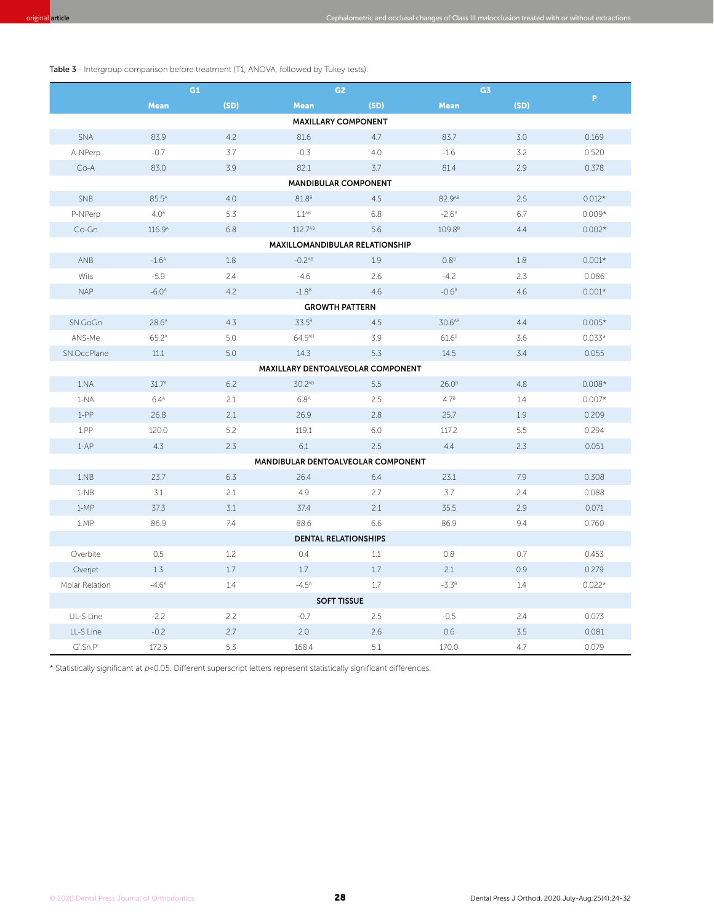|                                | G1                    |      | G <sub>2</sub>                     |      | G3                 |      |          |  |  |
|--------------------------------|-----------------------|------|------------------------------------|------|--------------------|------|----------|--|--|
|                                | <b>Mean</b>           | (SD) | <b>Mean</b>                        | (SD) | <b>Mean</b>        | (SD) | P.       |  |  |
|                                |                       |      | <b>MAXILLARY COMPONENT</b>         |      |                    |      |          |  |  |
| SNA                            | 83.9                  | 4.2  | 81.6                               | 4.7  | 83.7               | 3.0  | 0.169    |  |  |
| A-NPerp                        | $-0.7$                | 3.7  | $-0.3$                             | 4.0  | $-1.6$             | 3.2  | 0.520    |  |  |
| $Co-A$                         | 83.0                  | 3.9  | 82.1                               | 3.7  | 81.4               | 2.9  | 0.378    |  |  |
| <b>MANDIBULAR COMPONENT</b>    |                       |      |                                    |      |                    |      |          |  |  |
| SNB                            | 85.5 <sup>A</sup>     | 4.0  | 81.8 <sup>B</sup>                  | 4.5  | 82.9AB             | 2.5  | $0.012*$ |  |  |
| P-NPerp                        | 4.0 <sup>A</sup>      | 5.3  | $1.1^{AB}$                         | 6.8  | $-2.6^B$           | 6.7  | $0.009*$ |  |  |
| Co-Gn                          | 116.9 <sup>A</sup>    | 6.8  | 112.7AB                            | 5.6  | 109.8 <sup>B</sup> | 4.4  | $0.002*$ |  |  |
| MAXILLOMANDIBULAR RELATIONSHIP |                       |      |                                    |      |                    |      |          |  |  |
| ANB                            | $-1.6A$               | 1.8  | $-0.2^{AB}$                        | 1.9  | 0.8 <sup>B</sup>   | 1.8  | $0.001*$ |  |  |
| Wits                           | $-5.9$                | 2.4  | $-4.6$                             | 2.6  | $-4.2$             | 2.3  | 0.086    |  |  |
| <b>NAP</b>                     | $-6.0A$               | 4.2  | $-1.8B$                            | 4.6  | $-0.6B$            | 4.6  | $0.001*$ |  |  |
|                                | <b>GROWTH PATTERN</b> |      |                                    |      |                    |      |          |  |  |
| SN.GoGn                        | 28.6 <sup>A</sup>     | 4.3  | 33.5 <sup>B</sup>                  | 4.5  | 30.6 <sup>AB</sup> | 4.4  | $0.005*$ |  |  |
| ANS-Me                         | 65.2 <sup>A</sup>     | 5.0  | 64.5AB                             | 3.9  | 61.6 <sup>B</sup>  | 3.6  | $0.033*$ |  |  |
| SN.OccPlane                    | 11.1                  | 5.0  | 14.3                               | 5.3  | 14.5               | 3.4  | 0.055    |  |  |
|                                |                       |      | MAXILLARY DENTOALVEOLAR COMPONENT  |      |                    |      |          |  |  |
| 1.NA                           | 31.7 <sup>A</sup>     | 6.2  | 30.2AB                             | 5.5  | 26.0 <sup>B</sup>  | 4.8  | $0.008*$ |  |  |
| $1-NA$                         | 6.4 <sup>A</sup>      | 2.1  | 6.8 <sup>A</sup>                   | 2.5  | 4.7 <sup>B</sup>   | 1.4  | $0.007*$ |  |  |
| $1-PP$                         | 26.8                  | 2.1  | 26.9                               | 2.8  | 25.7               | 1.9  | 0.209    |  |  |
| 1.PP                           | 120.0                 | 5.2  | 119.1                              | 6.0  | 117.2              | 5.5  | 0.294    |  |  |
| $1-AP$                         | 4.3                   | 2.3  | 6.1                                | 2.5  | 4.4                | 2.3  | 0.051    |  |  |
|                                |                       |      | MANDIBULAR DENTOALVEOLAR COMPONENT |      |                    |      |          |  |  |
| 1.NB                           | 23.7                  | 6.3  | 26.4                               | 6.4  | 23.1               | 7.9  | 0.308    |  |  |
| $1-NB$                         | 3.1                   | 2.1  | 4.9                                | 2.7  | 3.7                | 2.4  | 0.088    |  |  |
| $1-MP$                         | 37.3                  | 3.1  | 37.4                               | 2.1  | 35.5               | 2.9  | 0.071    |  |  |
| 1.MP                           | 86.9                  | 7.4  | 88.6                               | 6.6  | 86.9               | 9.4  | 0.760    |  |  |
| <b>DENTAL RELATIONSHIPS</b>    |                       |      |                                    |      |                    |      |          |  |  |
| Overbite                       | 0.5                   | 1.2  | 0.4                                | 1.1  | 0.8                | 0.7  | 0.453    |  |  |
| Overjet                        | 1.3                   | 1.7  | 1.7                                | 1.7  | 2.1                | 0.9  | 0.279    |  |  |
| Molar Relation                 | $-4.6A$               | 1.4  | $-4.5^{A}$                         | 1.7  | $-3.3^{B}$         | 1.4  | $0.022*$ |  |  |
| <b>SOFT TISSUE</b>             |                       |      |                                    |      |                    |      |          |  |  |
| UL-S Line                      | $-2.2$                | 2.2  | $-0.7$                             | 2.5  | $-0.5$             | 2.4  | 0.073    |  |  |
| LL-S Line                      | $-0.2$                | 2.7  | 2.0                                | 2.6  | 0.6                | 3.5  | 0.081    |  |  |
| G'.Sn.P'                       | 172.5                 | 5.3  | 168.4                              | 5.1  | 170.0              | 4.7  | 0.079    |  |  |

original ar<mark>ticle</mark> Cephalometric and occlusal changes of Class III malocclusion treated with or without extractions and occlusal changes of Class III malocclusion treated with or without extractions are the stractions of t

\* Statistically significant at p < 0.05. Different superscript letters represent statistically significant differences.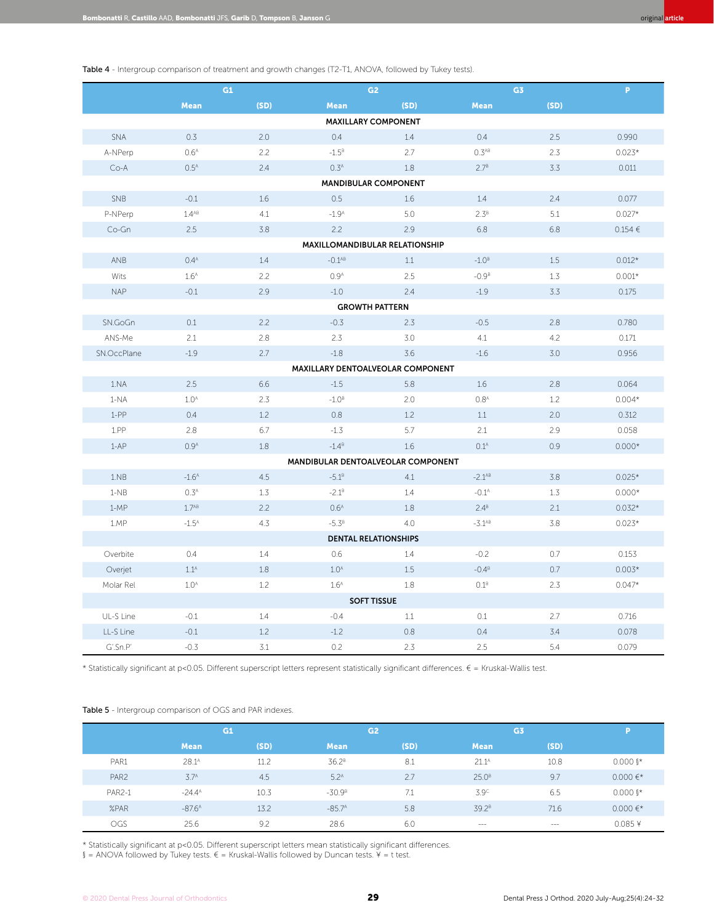Table 4 - Intergroup comparison of treatment and growth changes (T2-T1, ANOVA, followed by Tukey tests).

|                             | G1                |      | G <sub>2</sub>                     |      | G3                |      | $\mathbf{P}$ |  |  |
|-----------------------------|-------------------|------|------------------------------------|------|-------------------|------|--------------|--|--|
|                             | <b>Mean</b>       | (SD) | <b>Mean</b>                        | (SD) | <b>Mean</b>       | (SD) |              |  |  |
| <b>MAXILLARY COMPONENT</b>  |                   |      |                                    |      |                   |      |              |  |  |
| SNA                         | 0.3               | 2.0  | 0.4                                | 1.4  | 0.4               | 2.5  | 0.990        |  |  |
| A-NPerp                     | 0.6 <sup>A</sup>  | 2.2  | $-1.5^{B}$                         | 2.7  | 0.3 <sup>AB</sup> | 2.3  | $0.023*$     |  |  |
| $Co-A$                      | 0.5 <sup>A</sup>  | 2.4  | 0.3 <sup>A</sup>                   | 1.8  | 2.7 <sup>B</sup>  | 3.3  | 0.011        |  |  |
| <b>MANDIBULAR COMPONENT</b> |                   |      |                                    |      |                   |      |              |  |  |
| SNB                         | $-0.1$            | 1.6  | 0.5                                | 1.6  | 1.4               | 2.4  | 0.077        |  |  |
| P-NPerp                     | $1.4^{AB}$        | 4.1  | $-1.9A$                            | 5.0  | $2.3^B$           | 5.1  | $0.027*$     |  |  |
| Co-Gn                       | 2.5               | 3.8  | 2.2                                | 2.9  | 6.8               | 6.8  | 0.154 €      |  |  |
|                             |                   |      | MAXILLOMANDIBULAR RELATIONSHIP     |      |                   |      |              |  |  |
| ANB                         | 0.4 <sup>A</sup>  | 1.4  | $-0.1^{AB}$                        | 1.1  | $-1.0B$           | 1.5  | $0.012*$     |  |  |
| Wits                        | 1.6 <sup>A</sup>  | 2.2  | 0.9 <sup>A</sup>                   | 2.5  | $-0.9B$           | 1.3  | $0.001*$     |  |  |
| <b>NAP</b>                  | $-0.1$            | 2.9  | $-1.0$                             | 2.4  | $-1.9$            | 3.3  | 0.175        |  |  |
|                             |                   |      | <b>GROWTH PATTERN</b>              |      |                   |      |              |  |  |
| SN.GoGn                     | 0.1               | 2.2  | $-0.3$                             | 2.3  | $-0.5$            | 2.8  | 0.780        |  |  |
| ANS-Me                      | 2.1               | 2.8  | 2.3                                | 3.0  | 4.1               | 4.2  | 0.171        |  |  |
| SN.OccPlane                 | $-1.9$            | 2.7  | $-1.8$                             | 3.6  | $-1.6$            | 3.0  | 0.956        |  |  |
|                             |                   |      | MAXILLARY DENTOALVEOLAR COMPONENT  |      |                   |      |              |  |  |
| 1.NA                        | 2.5               | 6.6  | $-1.5$                             | 5.8  | 1.6               | 2.8  | 0.064        |  |  |
| $1-NA$                      | 1.0 <sup>A</sup>  | 2.3  | $-1.0B$                            | 2.0  | 0.8 <sup>A</sup>  | 1.2  | $0.004*$     |  |  |
| $1-PP$                      | 0.4               | 1.2  | 0.8                                | 1.2  | 1.1               | 2.0  | 0.312        |  |  |
| $1.$ PP                     | 2.8               | 6.7  | $-1.3$                             | 5.7  | 2.1               | 2.9  | 0.058        |  |  |
| $1 - AP$                    | 0.9 <sup>A</sup>  | 1.8  | $-1.4^B$                           | 1.6  | 0.1 <sup>A</sup>  | 0.9  | $0.000*$     |  |  |
|                             |                   |      | MANDIBULAR DENTOALVEOLAR COMPONENT |      |                   |      |              |  |  |
| 1.NB                        | $-1.6A$           | 4.5  | $-5.1^B$                           | 4.1  | $-2.1^{AB}$       | 3.8  | $0.025*$     |  |  |
| $1-NB$                      | 0.3 <sup>A</sup>  | 1.3  | $-2.1^{B}$                         | 1.4  | $-0.1A$           | 1.3  | $0.000*$     |  |  |
| $1-MP$                      | 1.7 <sup>AB</sup> | 2.2  | 0.6 <sup>A</sup>                   | 1.8  | $2.4^B$           | 2.1  | $0.032*$     |  |  |
| 1.MP                        | $-1.5^{A}$        | 4.3  | $-5.3^B$                           | 4.0  | $-3.1^{AB}$       | 3.8  | $0.023*$     |  |  |
| <b>DENTAL RELATIONSHIPS</b> |                   |      |                                    |      |                   |      |              |  |  |
| Overbite                    | 0.4               | 1.4  | 0.6                                | 1.4  | $-0.2$            | 0.7  | 0.153        |  |  |
| Overjet                     | $1.1^A$           | 1.8  | 1.0 <sup>A</sup>                   | 1.5  | $-0.4B$           | 0.7  | $0.003*$     |  |  |
| Molar Rel                   | 1.0 <sup>A</sup>  | 1.2  | 1.6 <sup>A</sup>                   | 1.8  | 0.1 <sup>B</sup>  | 2.3  | $0.047*$     |  |  |
| <b>SOFT TISSUE</b>          |                   |      |                                    |      |                   |      |              |  |  |
| UL-S Line                   | $-0.1$            | 1.4  | $-0.4$                             | 1.1  | 0.1               | 2.7  | 0.716        |  |  |
| LL-S Line                   | $-0.1$            | 1.2  | $-1.2$                             | 0.8  | 0.4               | 3.4  | 0.078        |  |  |
| G'.Sn.P'                    | $-0.3$            | 3.1  | 0.2                                | 2.3  | 2.5               | 5.4  | 0.079        |  |  |

\* Statistically significant at p<0.05. Different superscript letters represent statistically significant differences. € = Kruskal-Wallis test.

#### Table 5 - Intergroup comparison of OGS and PAR indexes.

|                  |                    | G1   |                   | G <sub>2</sub> |                   | G <sub>3</sub> |                        |
|------------------|--------------------|------|-------------------|----------------|-------------------|----------------|------------------------|
|                  | <b>Mean</b>        | (SD) | <b>Mean</b>       | (SD)           | <b>Mean</b>       | (SD)           |                        |
| PAR1             | $28.1^{\text{A}}$  | 11.2 | 36.2 <sup>B</sup> | 8.1            | $21.1^A$          | 10.8           | $0.000$ $\mathbb{I}^*$ |
| PAR <sub>2</sub> | 3.7 <sup>A</sup>   | 4.5  | 5.2 <sup>A</sup>  | 2.7            | 25.0 <sup>B</sup> | 9.7            | $0.000 \in x$          |
| <b>PAR2-1</b>    | $-24.4^{\text{A}}$ | 10.3 | $-30.9B$          | 7.1            | $3.9^\circ$       | 6.5            | $0.000$ $\mathbb{I}^*$ |
| %PAR             | $-87.6A$           | 13.2 | $-85.7A$          | 5.8            | 39.2 <sup>B</sup> | 71.6           | $0.000 \in x$          |
| OGS              | 25.6               | 9.2  | 28.6              | 6.0            | $\cdots$          | $   -$         | $0.085*$               |

\* Statistically significant at p<0.05. Different superscript letters mean statistically significant differences.

§ = ANOVA followed by Tukey tests.  $€$  = Kruskal-Wallis followed by Duncan tests. ¥ = t test.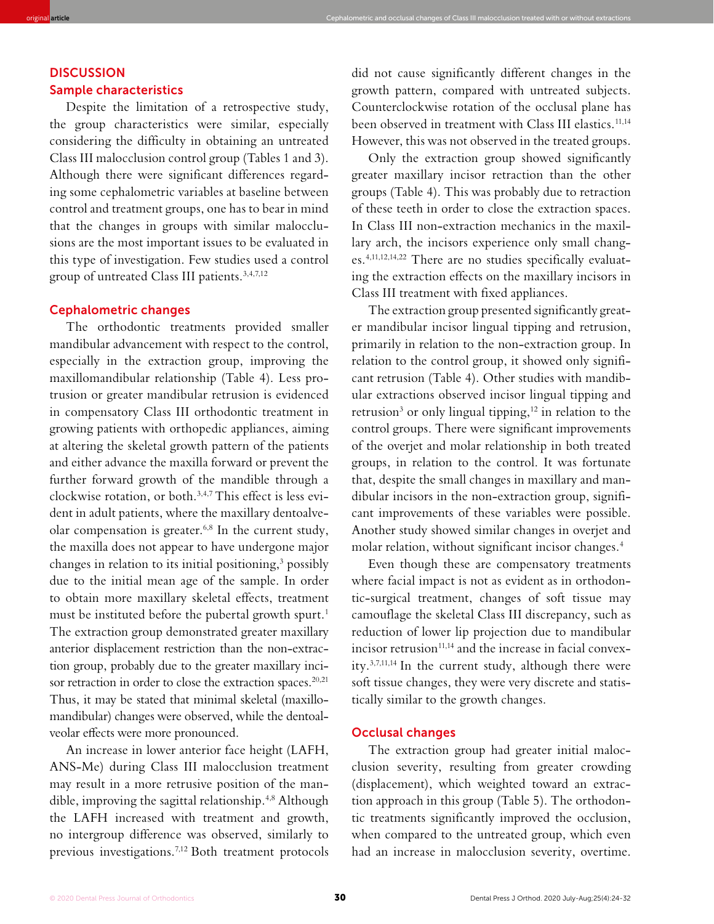# **DISCUSSION** Sample characteristics

Despite the limitation of a retrospective study, the group characteristics were similar, especially considering the difficulty in obtaining an untreated Class III malocclusion control group (Tables 1 and 3). Although there were significant differences regarding some cephalometric variables at baseline between control and treatment groups, one has to bear in mind that the changes in groups with similar malocclusions are the most important issues to be evaluated in this type of investigation. Few studies used a control group of untreated Class III patients.3,4,7,12

original **article** Cephalometric and occlusal changes of Class III malocclusion treated with or without extractions

### Cephalometric changes

The orthodontic treatments provided smaller mandibular advancement with respect to the control, especially in the extraction group, improving the maxillomandibular relationship (Table 4). Less protrusion or greater mandibular retrusion is evidenced in compensatory Class III orthodontic treatment in growing patients with orthopedic appliances, aiming at altering the skeletal growth pattern of the patients and either advance the maxilla forward or prevent the further forward growth of the mandible through a clockwise rotation, or both.3,4,7 This effect is less evident in adult patients, where the maxillary dentoalveolar compensation is greater.6,8 In the current study, the maxilla does not appear to have undergone major changes in relation to its initial positioning,<sup>3</sup> possibly due to the initial mean age of the sample. In order to obtain more maxillary skeletal effects, treatment must be instituted before the pubertal growth spurt.<sup>1</sup> The extraction group demonstrated greater maxillary anterior displacement restriction than the non-extraction group, probably due to the greater maxillary incisor retraction in order to close the extraction spaces.<sup>20,21</sup> Thus, it may be stated that minimal skeletal (maxillomandibular) changes were observed, while the dentoalveolar effects were more pronounced.

An increase in lower anterior face height (LAFH, ANS-Me) during Class III malocclusion treatment may result in a more retrusive position of the mandible, improving the sagittal relationship.4,8 Although the LAFH increased with treatment and growth, no intergroup difference was observed, similarly to previous investigations.7,12 Both treatment protocols did not cause significantly different changes in the growth pattern, compared with untreated subjects. Counterclockwise rotation of the occlusal plane has been observed in treatment with Class III elastics.<sup>11,14</sup> However, this was not observed in the treated groups.

Only the extraction group showed significantly greater maxillary incisor retraction than the other groups (Table 4). This was probably due to retraction of these teeth in order to close the extraction spaces. In Class III non-extraction mechanics in the maxillary arch, the incisors experience only small changes.4,11,12,14,22 There are no studies specifically evaluating the extraction effects on the maxillary incisors in Class III treatment with fixed appliances.

The extraction group presented significantly greater mandibular incisor lingual tipping and retrusion, primarily in relation to the non-extraction group. In relation to the control group, it showed only significant retrusion (Table 4). Other studies with mandibular extractions observed incisor lingual tipping and retrusion<sup>3</sup> or only lingual tipping,<sup>12</sup> in relation to the control groups. There were significant improvements of the overjet and molar relationship in both treated groups, in relation to the control. It was fortunate that, despite the small changes in maxillary and mandibular incisors in the non-extraction group, significant improvements of these variables were possible. Another study showed similar changes in overjet and molar relation, without significant incisor changes.4

Even though these are compensatory treatments where facial impact is not as evident as in orthodontic-surgical treatment, changes of soft tissue may camouflage the skeletal Class III discrepancy, such as reduction of lower lip projection due to mandibular incisor retrusion<sup>11,14</sup> and the increase in facial convexity.3,7,11,14 In the current study, although there were soft tissue changes, they were very discrete and statistically similar to the growth changes.

## Occlusal changes

The extraction group had greater initial malocclusion severity, resulting from greater crowding (displacement), which weighted toward an extraction approach in this group (Table 5). The orthodontic treatments significantly improved the occlusion, when compared to the untreated group, which even had an increase in malocclusion severity, overtime.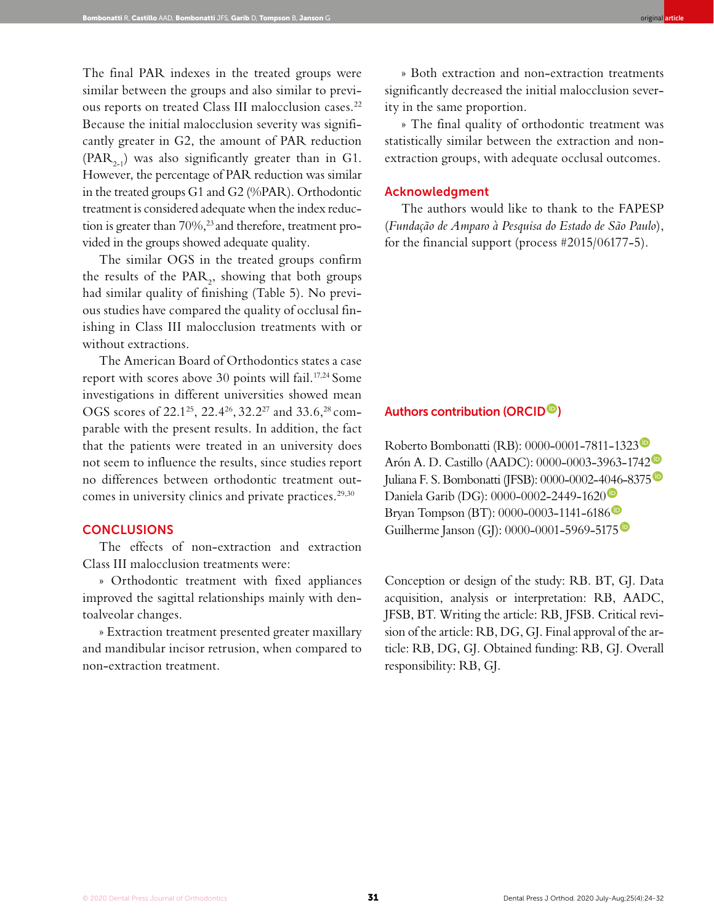The final PAR indexes in the treated groups were similar between the groups and also similar to previous reports on treated Class III malocclusion cases.<sup>22</sup> Because the initial malocclusion severity was significantly greater in G2, the amount of PAR reduction  $(PAR<sub>2-1</sub>)$  was also significantly greater than in G1. However, the percentage of PAR reduction was similar in the treated groups G1 and G2 (%PAR). Orthodontic treatment is considered adequate when the index reduction is greater than 70%,<sup>23</sup> and therefore, treatment provided in the groups showed adequate quality.

The similar OGS in the treated groups confirm the results of the  $\text{PAR}_2$ , showing that both groups had similar quality of finishing (Table 5). No previous studies have compared the quality of occlusal finishing in Class III malocclusion treatments with or without extractions.

The American Board of Orthodontics states a case report with scores above 30 points will fail.<sup>17,24</sup> Some investigations in different universities showed mean OGS scores of 22.125, 22.426, 32.227 and 33.6,28 comparable with the present results. In addition, the fact that the patients were treated in an university does not seem to influence the results, since studies report no differences between orthodontic treatment outcomes in university clinics and private practices.<sup>29,30</sup>

## **CONCLUSIONS**

The effects of non-extraction and extraction Class III malocclusion treatments were:

» Orthodontic treatment with fixed appliances improved the sagittal relationships mainly with dentoalveolar changes.

» Extraction treatment presented greater maxillary and mandibular incisor retrusion, when compared to non-extraction treatment.

» Both extraction and non-extraction treatments significantly decreased the initial malocclusion severity in the same proportion.

» The final quality of orthodontic treatment was statistically similar between the extraction and nonextraction groups, with adequate occlusal outcomes.

# Acknowledgment

The authors would like to thank to the FAPESP (*Fundação de Amparo à Pesquisa do Estado de São Paulo*), for the financial support (process #2015/06177-5).

# Authors contribution (ORCID<sup>®</sup>)

Roberto Bombonatti (RB): 0000-0001-7811-1323<sup>0</sup> Arón A. D. Castillo (AADC): 0000-0003-3963-1742 Juliana F. S. Bombonatti (JFSB): 0000-0002-4046-8375 Daniela Garib (DG): 0000-0002-2449-1620<sup>0</sup> Bryan Tompson (BT): 0000-0003-1141-6186 Guilherme Janson (GJ): 0000-0001-5969-5175<sup>®</sup>

Conception or design of the study: RB. BT, GJ. Data acquisition, analysis or interpretation: RB, AADC, JFSB, BT. Writing the article: RB, JFSB. Critical revision of the article: RB, DG, GJ. Final approval of the article: RB, DG, GJ. Obtained funding: RB, GJ. Overall responsibility: RB, GJ.